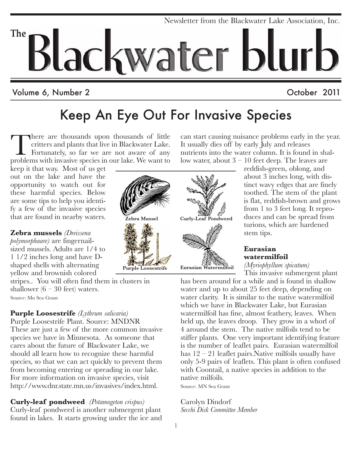# Newsletter from the Blackwater Lake Association, Inc. **The** Blackwater blurb

#### Volume 6, Number 2 and 2011 and 2011 and 2011

## Keep An Eye Out For Invasive Species

There are thousands upon thousands of little critters and plants that live in Blackwater Lake. Fortunately, so far we are not aware of any problems with invasive species in our lake. We want to

keep it that way. Most of us get out on the lake and have the opportunity to watch out for these harmful species. Below are some tips to help you identify a few of the invasive species that are found in nearby waters.

**Zebra mussels** *(Dreissena polymorphaare)* are fingernailsized mussels. Adults are 1/4 to 1 1/2 inches long and have Dshaped shells with alternating yellow and brownish colored

stripes.. You will often find them in clusters in shallower  $(6 - 30 \text{ feet})$  waters. Source: Mn Sea Grant

#### **Purple Loosestrife** *(Lythrum salicaria)*

Purple Loosestrife Plant. Source: MNDNR These are just a few of the more common invasive species we have in Minnesota. As someone that cares about the future of Blackwater Lake, we should all learn how to recognize these harmful species, so that we can act quickly to prevent them from becoming entering or spreading in our lake. For more information on invasive species, visit http://www.dnr.state.mn.us/invasives/index.html.

**Curly-leaf pondweed** *(Potamogeton crispus)* Curly-leaf pondweed is another submergent plant found in lakes. It starts growing under the ice and



can start causing nuisance problems early in the year. It usually dies off by early July and releases nutrients into the water column. It is found in shallow water, about 3 – 10 feet deep. The leaves are

reddish-green, oblong, and about 3 inches long, with distinct wavy edges that are finely toothed. The stem of the plant is flat, reddish-brown and grows from 1 to 3 feet long. It reproduces and can be spread from turions, which are hardened stem tips.

**Eurasian watermilfoil** *(Myriophyllum spicatum)*

This invasive submergent plant

has been around for a while and is found in shallow water and up to about 25 feet deep, depending on water clarity. It is similar to the native watermilfoil which we have in Blackwater Lake, but Eurasian watermilfoil has fine, almost feathery, leaves. When held up, the leaves droop. They grow in a whorl of 4 around the stem. The native milfoils tend to be stiffer plants. One very important identifying feature is the number of leaflet pairs. Eurasian watermilfoil has  $12 - 21$  leaflet pairs. Native milfoils usually have only 5-9 pairs of leaflets. This plant is often confused with Coontail, a native species in addition to the native milfoils.

Source: MN Sea Grant

Carolyn Dindorf *Secchi Disk Committee Member*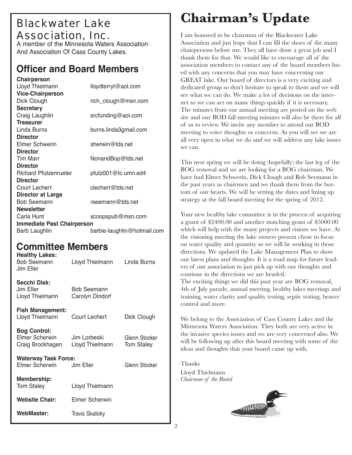## Blackwater Lake Association, Inc.

A member of the Minnesota Waters Association And Association Of Cass County Lakes.

#### **Officer and Board Members**

| Chairperson                       |                             |
|-----------------------------------|-----------------------------|
| Lloyd Thielmann                   | lloydterryt@aol.com         |
| <b>Vice-Chairperson</b>           |                             |
| Dick Clough                       | rich_clough@msn.com         |
| <b>Secretary</b>                  |                             |
| Craig Laughlin                    | srcfunding@aol.com          |
| <b>Treasurer</b>                  |                             |
| Linda Burns                       | burns.linda3gmail.com       |
| <b>Director</b>                   |                             |
| Elmer Schwerin                    | sherwin@tds.net             |
| <b>Director</b>                   |                             |
| <b>Tim Marr</b>                   | NonandBop@tds.net           |
| <b>Director</b>                   |                             |
| <b>Richard Pfutzenrueter</b>      | pfutz001@tc.umn.ed4         |
| <b>Director</b>                   |                             |
| <b>Court Lechert</b>              | clechert@tds.net            |
| <b>Director at Large</b>          |                             |
| <b>Bob Seemann</b>                | rseemann@tds.net            |
| <b>Newsletter</b>                 |                             |
| Carla Hunt                        | scoopspub@msn.com           |
| <b>Immediate Past Chairperson</b> |                             |
| <b>Barb Laughlin</b>              | barbie-laughlin@hotmail.com |

#### **Committee Members**

| <b>Healthy Lakes:</b><br><b>Bob Seemann</b><br>Jim Eller  | Lloyd Thielmann                       | Linda Burns                        |
|-----------------------------------------------------------|---------------------------------------|------------------------------------|
| <b>Secchi Disk:</b><br>Jim Eller<br>Lloyd Thielmann       | <b>Bob Seemann</b><br>Carolyn Dindorf |                                    |
| <b>Fish Management:</b><br>Lloyd Thielmann                | Court Lechert                         | Dick Clough                        |
| <b>Bog Control:</b><br>Elmer Scherwin<br>Craig Brockhagen | Jim Lorbeski<br>Lloyd Thielmann       | Glenn Stocker<br><b>Tom Staley</b> |
| <b>Waterway Task Force:</b><br>Elmer Scherwin             | Glenn Stocker                         |                                    |
| Membership:<br><b>Tom Staley</b>                          | Lloyd Thielmann                       |                                    |
| <b>Website Chair:</b>                                     | Elmer Scherwin                        |                                    |
| WebMaster:                                                | <b>Travis Skalicky</b>                |                                    |

## **Chairman's Update**

I am honored to be chairman of the Blackwater Lake Association and just hope that I can fill the shoes of the many chairpersons before me. They all have done a great job and I thank them for that. We would like to encourage all of the association members to contact any of the board members listed with any concerns that you may have concerning our GREAT lake. Our board of directors is a very exciting and dedicated group so don't hesitate to speak to them and we will see what we can do. We make a lot of decisions on the internet so we can act on many things quickly if it is necessary. The minutes from our annual meeting are posted on the web site and our BOD fall meeting minutes will also be there for all of us to review. We invite any member to attend our BOD meeting to voice thoughts or concerns. As you will see we are all very open in what we do and we will address any lake issues we can.

This next spring we will be doing (hopefully) the last leg of the BOG removal and we are looking for a BOG chairman. We have had Elmer Schwerin, Dick Clough and Bob Seemann in the past years as chairmen and we thank them from the bottom of our hearts. We will be setting the dates and lining up strategy at the fall board meeting for the spring of 2012.

Your new healthy lake committee is in the process of acquiring a grant of \$2400.00 and another matching grant of \$5000.00 which will help with the many projects and visions we have. At the visioning meeting the lake owners present chose to focus on water quality and quantity so we will be working in those directions. We updated the Lake Management Plan to show our latest plans and thoughts. It is a road map for future leaders of our association to just pick up with our thoughts and continue in the directions we are headed. The exciting things we did this past year are BOG removal, 4th of July parade, annual meeting, healthy lakes meetings and training, water clarity and quality testing, septic testing, beaver control and more.

We belong to the Association of Cass County Lakes and the Minnesota Waters Association. They both are very active in the invasive species issues and we are very concerned also. We will be following up after this board meeting with some of the ideas and thoughts that your board came up with.

Thanks Lloyd Thielmann *Chairman of the Board*

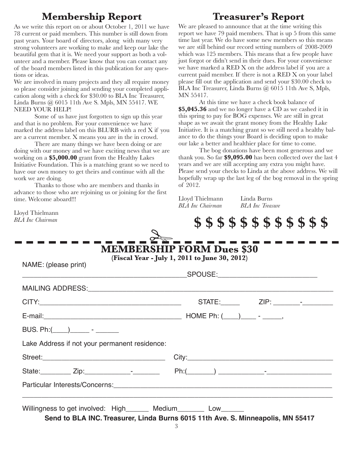#### **Membership Report Treasurer's Report**

As we write this report on or about October 1, 2011 we have 78 current or paid members. This number is still down from past years. Your board of directors, along with many very strong volunteers are working to make and keep our lake the beautiful gem that it is. We need your support as both a volunteer and a member. Please know that you can contact any of the board members listed in this publication for any questions or ideas.

We are involved in many projects and they all require money so please consider joining and sending your completed application along with a check for \$30.00 to BLA Inc Treasurer, Linda Burns @ 6015 11th Ave S. Mpls, MN 55417. WE NEED YOUR HELP!

Some of us have just forgotten to sign up this year and that is no problem. For your convenience we have marked the address label on this BLURB with a red X if you are a current member. X means you are in the in crowd.

There are many things we have been doing or are doing with our money and we have exciting news that we are working on a **\$5,000.00** grant from the Healthy Lakes Initiative Foundation. This is a matching grant so we need to have our own money to get theirs and continue with all the work we are doing.

Thanks to those who are members and thanks in advance to those who are rejoining us or joining for the first time. Welcome aboard!!!

Lloyd Thielmann *BLA Inc Chairman*

We are pleased to announce that at the time writing this report we have 79 paid members. That is up 5 from this same time last year. We do have some new members so this means we are still behind our record setting numbers of 2008-2009 which was 125 members. This means that a few people have just forgot or didn't send in their dues. For your convenience we have marked a RED X on the address label if you are a current paid member. If there is not a RED X on your label please fill out the application and send your \$30.00 check to BLA Inc Treasurer, Linda Burns @ 6015 11th Ave S, Mpls, MN 55417.

At this time we have a check book balance of **\$5,045.36** and we no longer have a CD as we cashed it in this spring to pay for BOG expenses. We are still in great shape as we await the grant money from the Healthy Lake Initiative. It is a matching grant so we still need a healthy balance to do the things your Board is deciding upon to make our lake a better and healthier place for time to come.

The bog donations have been most generous and we thank you. So far **\$9,095.00** has been collected over the last 4 years and we are still accepting any extra you might have. Please send your checks to Linda at the above address. We will hopefully wrap up the last leg of the bog removal in the spring of 2012.

Lloyd Thielmann Linda Burns *BLA Inc Chairman BLA Inc Treasure*

**\$\$\$\$\$\$\$\$\$\$\$\$**

| NAME: (please print)                          | (Fiscal Year - July 1, 2011 to June 30, 2012) |  |
|-----------------------------------------------|-----------------------------------------------|--|
|                                               |                                               |  |
|                                               |                                               |  |
|                                               |                                               |  |
|                                               |                                               |  |
|                                               |                                               |  |
| Lake Address if not your permanent residence: |                                               |  |
|                                               |                                               |  |
|                                               |                                               |  |
|                                               |                                               |  |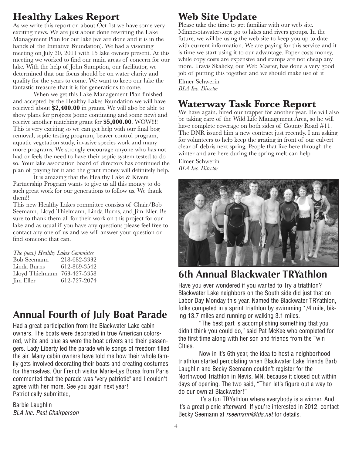#### **Healthy Lakes Report**

As we write this report on about  $\overline{O}$  ct 1st we have some very exciting news. We are just about done rewriting the Lake Management Plan for our lake (we are done and it is in the hands of the Initiative Foundation). We had a visioning meeting on July 30, 2011 with 15 lake owners present. At this meeting we worked to find our main areas of concern for our lake. With the help of John Sumption, our facilitator, we determined that our focus should be on water clarity and quality for the years to come. We want to keep our lake the fantastic treasure that it is for generations to come.

When we get this Lake Management Plan finished and accepted by the Healthy Lakes Foundation we will have received about **\$2,400.00** in grants. We will also be able to show plans for projects (some continuing and some new) and receive another matching grant for **\$5,000.00**. WOW!!!! This is very exciting so we can get help with our final bog removal, septic testing program, beaver control program, aquatic vegetation study, invasive species work and many more programs. We strongly encourage anyone who has not had or feels the need to have their septic system tested to do so. Your lake association board of directors has continued the plan of paying for it and the grant money will definitely help.

It is amazing that the Healthy Lake & Rivers Partnership Program wants to give us all this money to do such great work for our generations to follow us. We thank them!!

This new Healthy Lakes committee consists of Chair/Bob Seemann, Lloyd Thielmann, Linda Burns, and Jim Eller. Be sure to thank them all for their work on this project for our lake and as usual if you have any questions please feel free to contact any one of us and we will answer your question or find someone that can.

| The (new) Healthy Lakes Committee |              |  |  |
|-----------------------------------|--------------|--|--|
| <b>Bob Seemann</b>                | 218-682-3332 |  |  |
| Linda Burns                       | 612-869-3542 |  |  |
| Lloyd Thielmann                   | 763-427-5358 |  |  |
| <b>Jim Eller</b>                  | 612-727-2074 |  |  |

### **Annual Fourth of July Boat Parade**

Had a great participation from the Blackwater Lake cabin owners. The boats were decorated in true American colorsred, white and blue as were the boat drivers and their passengers. Lady Liberty led the parade while songs of freedom filled the air. Many cabin owners have told me how their whole family gets involved decorating their boats and creating costumes for themselves. Our French visitor Marie-Lys Borsa from Paris commented that the parade was "very patriotic" and I couldn't agree with her more. See you again next year! Patriotically submitted,

Barbie Laughlin *BLA Inc. Past Chairperson*

### **Web Site Update**

Please take the time to get familiar with our web site. Minnesotawaters.org. go to lakes and rivers groups. In the future, we will be using the web site to keep you up to date with current information. We are paying for this service and it is time we start using it to our advantage. Paper costs money, while copy costs are expensive and stamps are not cheap any more. Travis Skalicky, our Web Master, has done a very good job of putting this together and we should make use of it Elmer Schwerin

*BLA Inc. Director*

#### **Waterway Task Force Report**

We have again, hired our trapper for another year. He will also be taking care of the Wild Life Management Area, so he will have complete coverage on both sides of County Road #11. The DNR issued him a new contract just recently. I am asking for volunteers to help keep the grating in front of our culvert clear of debris next spring. People that live here through the winter and are here during the spring melt can help. Elmer Schwerin

*BLA Inc. Director*



#### **6th Annual Blackwater TRYathlon**

Have you ever wondered if you wanted to Try a triathlon? Blackwater Lake neighbors on the South side did just that on Labor Day Monday this year. Named the Blackwater TRYathlon, folks competed in a sprint triathlon by swimming 1/4 mile, biking 13.7 miles and running or walking 3.1 miles.

"The best part is accomplishing something that you didn't think you could do," said Pat McKee who completed for the first time along with her son and friends from the Twin CIties.

Now in it's 6th year, the idea to host a neighborhood triathlon started percolating when Blackwater Lake friends Barb Laughlin and Becky Seemann couldn't register for the Northwood Triathlon in Nevis, MN. because it closed out within days of opening. The two said, "Then let's figure out a way to do our own at Blackwater!"

It's a fun TRYathlon where everybody is a winner. And it's a great picnic afterward. If you're interested in 2012, contact Becky Seemann at *rseemann@tds.net* for details.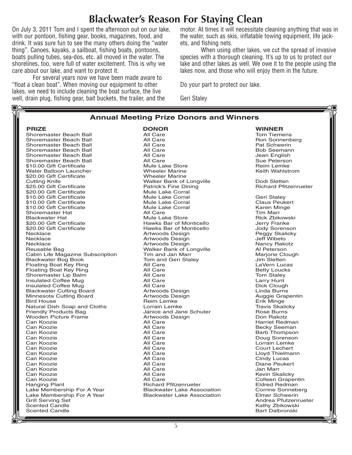#### **Blackwater's Reason For Staying Clean**

On July 3, 2011 Tom and I spent the afternoon out on our lake, with our pontoon, fishing gear, books, magazines, food, and drink. It was sure fun to see the many others doing the "water thing". Canoes, kayaks, a sailboat, fishing boats, pontoons, boats pulling tubes, sea-dos, etc. all moved in the water. The shorelines, too, were full of water excitement. This is why we care about our lake, and want to protect it.

For several years now we have been made aware to "float a clean boat". When moving our equipment to other lakes, we need to include cleaning the boat surface, the live well, drain plug, fishing gear, bait buckets, the trailer, and the

贻

motor. At times it will necessitate cleaning anything that was in the water, such as skis, inflatable towing equipment, life jackets, and fishing nets.

When using other lakes, we cut the spread of invasive species with a thorough cleaning. It's up to us to protect our lake and other lakes as well. We owe it to the people using the lakes now, and those who will enjoy them in the future.

Do your part to protect our lake.

Geri Staley

| <b>Annual Meeting Prize Donors and Winners</b>           |                                          |                                                  |  |  |
|----------------------------------------------------------|------------------------------------------|--------------------------------------------------|--|--|
| <b>PRIZE</b>                                             | <b>DONOR</b>                             | <b>WINNER</b>                                    |  |  |
| Shoremaster Beach Ball                                   | All Care                                 | <b>Tom Tiemens</b>                               |  |  |
| Shoremaster Beach Ball                                   | All Care                                 | Ron Sonnenberg                                   |  |  |
| Shoremaster Beach Ball                                   | All Care                                 | Pat Schwerin                                     |  |  |
| Shoremaster Beach Ball                                   | All Care                                 | <b>Bob Seemann</b>                               |  |  |
| Shoremaster Beach Ball                                   | All Care                                 | Jean English                                     |  |  |
| Shoremaster Beach Ball                                   | All Care                                 | Sue Peterson                                     |  |  |
| \$10.00 Gift Certificate                                 | <b>Mule Lake Store</b>                   | <b>Reim Lemke</b>                                |  |  |
| Water Balloon Launcher                                   | <b>Wheeler Marine</b>                    | Keith Wahlstrom                                  |  |  |
| \$20.00 Gift Certificate                                 | <b>Wheeler Marine</b>                    |                                                  |  |  |
| <b>Cutting Knife</b>                                     | Walker Bank of Longville                 | Dodi Sletten                                     |  |  |
| \$25.00 Gift Certificate                                 | Patrick's Fine Dining                    | <b>Richard Pfitzenrueter</b>                     |  |  |
| \$20.00 Gift Certificate                                 | Mule Lake Corral                         |                                                  |  |  |
| \$10.00 Gift Certificate                                 | Mule Lake Corral                         | <b>Geri Stalev</b>                               |  |  |
| \$10.00 Gift Certificate                                 | Mule Lake Corral                         | <b>Claus Peukert</b>                             |  |  |
| \$10.00 Gift Certificate                                 | Mule Lake Corral                         | Karen Minge                                      |  |  |
| Shoremaster Hat                                          | All Care                                 | <b>Tim Marr</b>                                  |  |  |
| <b>Blackwater Hat</b>                                    | <b>Mule Lake Store</b>                   | <b>Rick Zbikowski</b>                            |  |  |
| \$20.00 Gift Certificate                                 | Hawks Bar of Monticello                  | Jerry Franke                                     |  |  |
| \$20.00 Gift Certificate                                 | Hawks Bar of Monticello                  | Jody Sorenson                                    |  |  |
| Necklace                                                 | Artwoods Design                          | Peggy Skalicky                                   |  |  |
| Necklace                                                 | Artwoods Design                          | <b>Jeff Wibeto</b>                               |  |  |
| Necklace                                                 | Artwoods Design                          | Nancy Rakotz                                     |  |  |
| Reusable Bag                                             | Walker Bank of Longville                 | Al Peterson                                      |  |  |
| Cabin Life Magazine Subscription                         | Tim and Jan Marr                         | Marjorie Clough                                  |  |  |
| <b>Blackwater Bog Book</b>                               | Tom and Geri Staley                      | Jim Sletten                                      |  |  |
| Floating Boat Key Ring                                   | All Care                                 | LaVern Lucas                                     |  |  |
| Floating Boat Key Ring                                   | All Care                                 | <b>Betty Loucks</b>                              |  |  |
| Shoremaster Lip Balm                                     | All Care                                 | Tom Staley                                       |  |  |
| <b>Insulated Coffee Mug</b>                              | All Care                                 | Larry Hunt                                       |  |  |
| Insulated Coffee Mug                                     | All Care                                 | Dick Clough                                      |  |  |
| <b>Blackwater Cutting Board</b>                          | Artwoods Design                          | Linda Burns                                      |  |  |
| Minnesota Cutting Board                                  | Artwoods Design                          | Auggie Grapentin                                 |  |  |
| <b>Bird House</b>                                        | <b>Reim Lemke</b>                        | Erik Minge                                       |  |  |
| Natural Dish Soap and Cloths                             | Lorrain Lemke                            | <b>Travis Skalicky</b>                           |  |  |
| Friendly Products Bag                                    | Janice and Jane Schuter                  | Rose Burns                                       |  |  |
| <b>Wooden Picture Frame</b>                              | Artwoods Design                          | Don Rakotz                                       |  |  |
| Can Koozie                                               | All Care                                 | Harriet Redman                                   |  |  |
| Can Koozie                                               | All Care                                 | <b>Becky Seeman</b>                              |  |  |
| Can Koozie                                               | All Care                                 | <b>Barb Thompson</b>                             |  |  |
| Can Koozie                                               | All Care                                 | Doug Sorenson                                    |  |  |
| Can Koozie                                               | All Care                                 | Lorrain Lemke                                    |  |  |
| Can Koozie                                               | All Care                                 | <b>Court Lechert</b>                             |  |  |
| Can Koozie                                               | All Care                                 | Lloyd Thielmann                                  |  |  |
| Can Koozie                                               | All Care                                 | Cindy Lucas                                      |  |  |
| Can Koozie                                               | All Care                                 | <b>Diane Peukert</b>                             |  |  |
| Can Koozie                                               | All Care<br>All Care                     | Jan Marr                                         |  |  |
| Can Koozie                                               |                                          | Kevin Skalicky                                   |  |  |
| Can Koozie                                               | All Care<br><b>Richard Pfitzenrueter</b> | <b>Colleen Grapentin</b><br><b>Eldred Redman</b> |  |  |
| <b>Hanging Plant</b>                                     | <b>Blackwater Lake Association</b>       | <b>Corrine Sonneberg</b>                         |  |  |
| Lake Membership For A Year<br>Lake Membership For A Year | <b>Blackwater Lake Association</b>       | <b>Elmer Schwerin</b>                            |  |  |
| <b>Grill Serving Set</b>                                 |                                          | Andrea Pfutzenrueter                             |  |  |
| <b>Scented Candle</b>                                    |                                          | Kathy Zbikowski                                  |  |  |
| <b>Scented Candle</b>                                    |                                          | <b>Bart Dalbronski</b>                           |  |  |
|                                                          |                                          |                                                  |  |  |
|                                                          |                                          |                                                  |  |  |